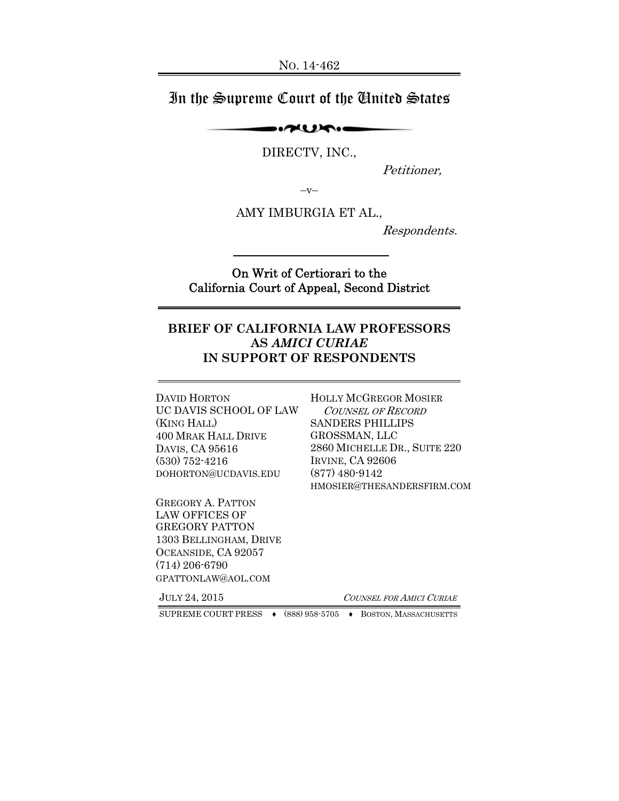# In the Supreme Court of the United States

 $\rightarrow$ 

DIRECTV, INC.,

Petitioner,

 $-v-$ 

AMY IMBURGIA ET AL.,

Respondents.

### On Writ of Certiorari to the California Court of Appeal, Second District

### **BRIEF OF CALIFORNIA LAW PROFESSORS AS** *AMICI CURIAE* **IN SUPPORT OF RESPONDENTS**

DAVID HORTON UC DAVIS SCHOOL OF LAW (KING HALL) 400 MRAK HALL DRIVE DAVIS, CA 95616 (530) 752-4216 DOHORTON@UCDAVIS.EDU

GREGORY A. PATTON LAW OFFICES OF GREGORY PATTON 1303 BELLINGHAM, DRIVE OCEANSIDE, CA 92057 (714) 206-6790 GPATTONLAW@AOL.COM

HOLLY MCGREGOR MOSIER COUNSEL OF RECORD SANDERS PHILLIPS GROSSMAN, LLC 2860 MICHELLE DR., SUITE 220 IRVINE, CA 92606 (877) 480-9142 HMOSIER@THESANDERSFIRM.COM

JULY 24, 2015 <sup>C</sup>OUNSEL FOR AMICI CURIAE

SUPREME COURT PRESS ♦ (888) 958-5705 ♦ BOSTON, MASSACHUSETTS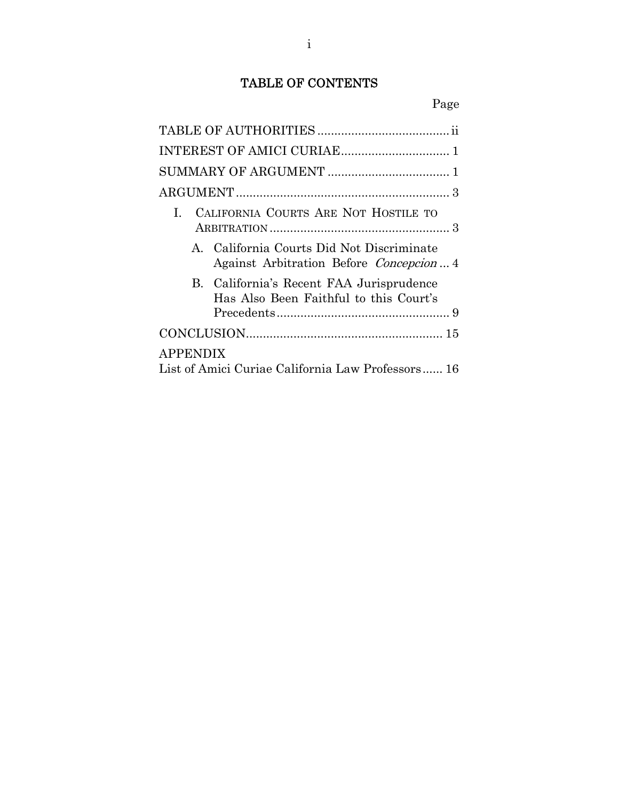# TABLE OF CONTENTS

|                                                   | CALIFORNIA COURTS ARE NOT HOSTILE TO                                                  |  |
|---------------------------------------------------|---------------------------------------------------------------------------------------|--|
|                                                   | A. California Courts Did Not Discriminate<br>Against Arbitration Before Concepcion  4 |  |
|                                                   | B. California's Recent FAA Jurisprudence<br>Has Also Been Faithful to this Court's    |  |
|                                                   |                                                                                       |  |
| <b>APPENDIX</b>                                   |                                                                                       |  |
| List of Amici Curiae California Law Professors 16 |                                                                                       |  |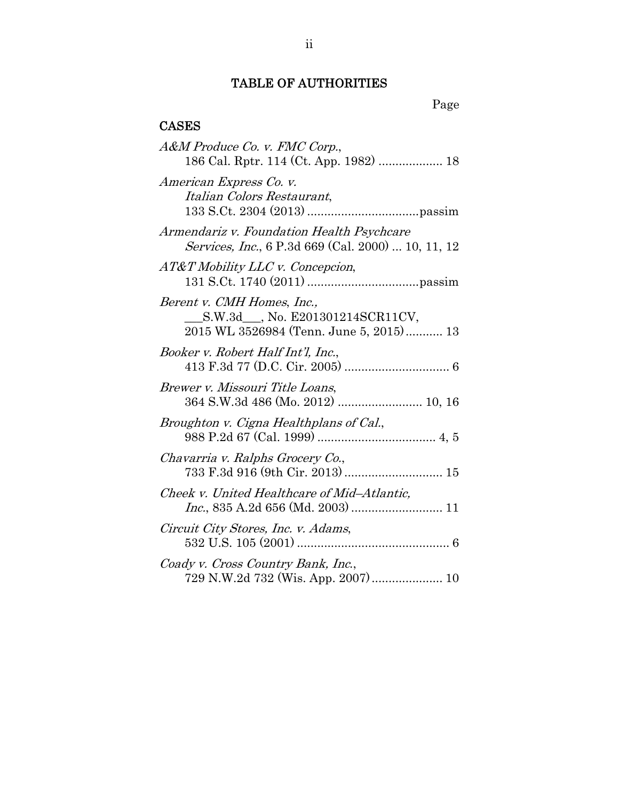## TABLE OF AUTHORITIES

# CASES

| A&M Produce Co. v. FMC Corp.,                                                                                       |
|---------------------------------------------------------------------------------------------------------------------|
| American Express Co. v.<br>Italian Colors Restaurant,                                                               |
| Armendariz v. Foundation Health Psychcare<br>Services, Inc., 6 P.3d 669 (Cal. 2000)  10, 11, 12                     |
| $AT&T$ Mobility LLC v. Concepcion,                                                                                  |
| Berent v. CMH Homes, Inc.,<br>__________________, No. E201301214SCR11CV,<br>2015 WL 3526984 (Tenn. June 5, 2015) 13 |
| Booker v. Robert Half Int'l, Inc.,                                                                                  |
| Brewer v. Missouri Title Loans,<br>364 S.W.3d 486 (Mo. 2012)  10, 16                                                |
| Broughton v. Cigna Healthplans of Cal.,                                                                             |
| Chavarria v. Ralphs Grocery Co.,<br>733 F.3d 916 (9th Cir. 2013)  15                                                |
| Cheek v. United Healthcare of Mid-Atlantic,                                                                         |
| Circuit City Stores, Inc. v. Adams,                                                                                 |
| Coady v. Cross Country Bank, Inc.,<br>729 N.W.2d 732 (Wis. App. 2007)  10                                           |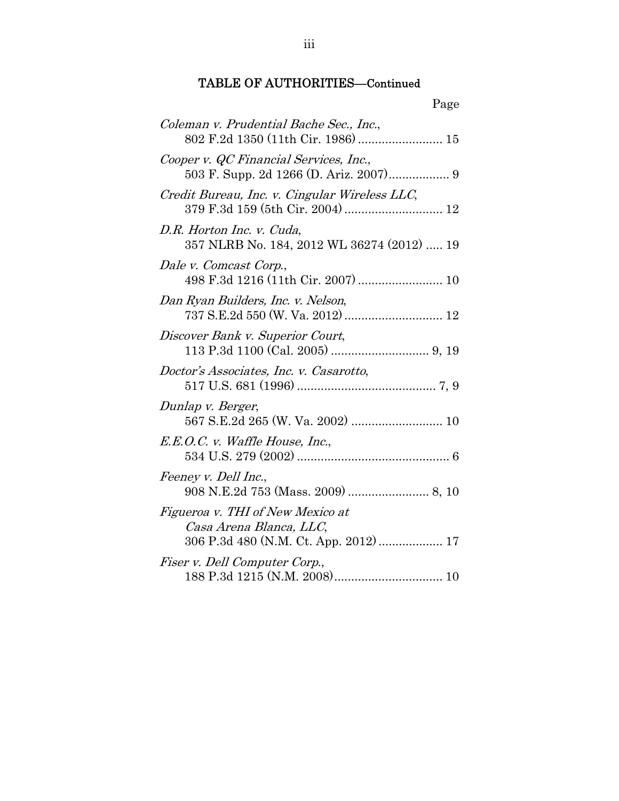| Page                                                                              |
|-----------------------------------------------------------------------------------|
| Coleman v. Prudential Bache Sec., Inc.,<br>802 F.2d 1350 (11th Cir. 1986)  15     |
| Cooper v. QC Financial Services, Inc.,<br>503 F. Supp. 2d 1266 (D. Ariz. 2007) 9  |
| Credit Bureau, Inc. v. Cingular Wireless LLC,<br>379 F.3d 159 (5th Cir. 2004)  12 |
| D.R. Horton Inc. v. Cuda,<br>357 NLRB No. 184, 2012 WL 36274 (2012)  19           |
| Dale v. Comcast Corp.,                                                            |
| Dan Ryan Builders, Inc. v. Nelson,                                                |
| Discover Bank v. Superior Court,                                                  |
| Doctor's Associates, Inc. v. Casarotto,                                           |
| Dunlap v. Berger,                                                                 |
| E.E.O.C. v. Waffle House, Inc.,                                                   |
| Feeney v. Dell Inc.,                                                              |
| Figueroa v. THI of New Mexico at<br>Casa Arena Blanca, LLC,                       |
| Fiser v. Dell Computer Corp.,                                                     |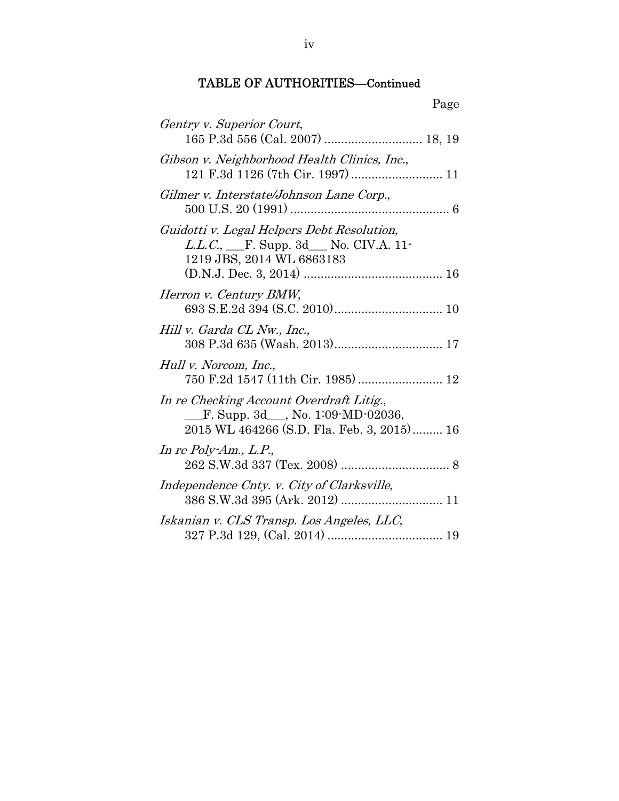| Page                                                                                                                         |
|------------------------------------------------------------------------------------------------------------------------------|
| Gentry v. Superior Court,                                                                                                    |
| Gibson v. Neighborhood Health Clinics, Inc.,<br>121 F.3d 1126 (7th Cir. 1997)  11                                            |
| Gilmer v. Interstate/Johnson Lane Corp.,                                                                                     |
| Guidotti v. Legal Helpers Debt Resolution,<br><i>L.L.C.</i> , <u>F. Supp. 3d</u> No. CIV.A. 11-<br>1219 JBS, 2014 WL 6863183 |
| Herron v. Century BMW,                                                                                                       |
| Hill v. Garda CL Nw., Inc.,                                                                                                  |
| Hull v. Norcom, Inc.,<br>750 F.2d 1547 (11th Cir. 1985)  12                                                                  |
| In re Checking Account Overdraft Litig.,<br>F. Supp. $3d$ , No. 1:09-MD-02036,<br>2015 WL 464266 (S.D. Fla. Feb. 3, 2015) 16 |
| In re Poly-Am., $L.P.,$                                                                                                      |
| Independence Cnty. v. City of Clarksville,                                                                                   |
| Iskanian v. CLS Transp. Los Angeles, LLC,                                                                                    |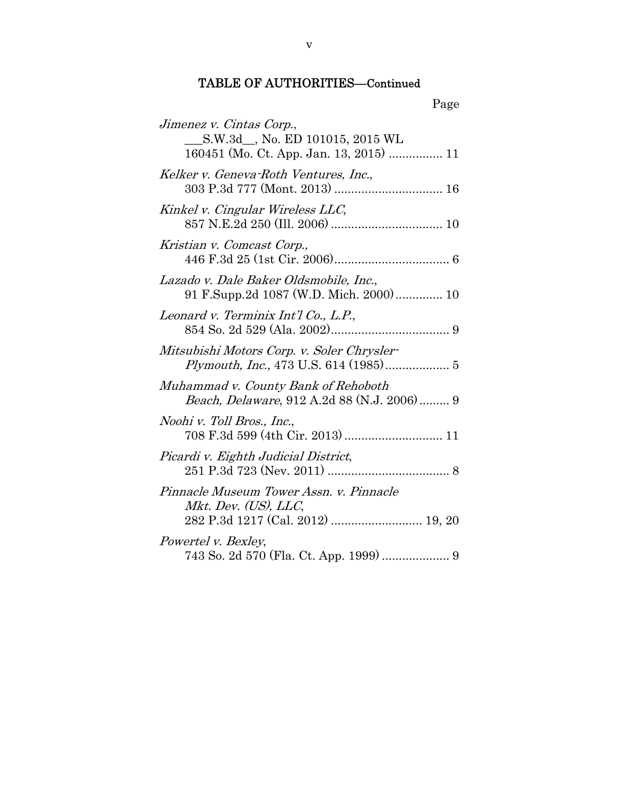| ۳<br>ı.<br>т. |  |
|---------------|--|
|               |  |

| Jimenez v. Cintas Corp.,                                                                             |
|------------------------------------------------------------------------------------------------------|
| S.W.3d_, No. ED 101015, 2015 WL<br>160451 (Mo. Ct. App. Jan. 13, 2015)  11                           |
| Kelker v. Geneva-Roth Ventures, Inc.,<br>303 P.3d 777 (Mont. 2013)  16                               |
| Kinkel v. Cingular Wireless LLC,                                                                     |
| Kristian v. Comcast Corp.,                                                                           |
| Lazado v. Dale Baker Oldsmobile, Inc.,<br>91 F.Supp.2d 1087 (W.D. Mich. 2000) 10                     |
| Leonard v. Terminix Int'l Co., L.P.,                                                                 |
| Mitsubishi Motors Corp. v. Soler Chrysler-<br>Plymouth, Inc., 473 U.S. 614 (1985) 5                  |
| Muhammad v. County Bank of Rehoboth<br>Beach, Delaware, 912 A.2d 88 (N.J. 2006)  9                   |
| Noohi v. Toll Bros., Inc.,                                                                           |
| Picardi v. Eighth Judicial District,                                                                 |
| Pinnacle Museum Tower Assn. v. Pinnacle<br>Mkt. Dev. (US), LLC,<br>282 P.3d 1217 (Cal. 2012)  19, 20 |
| Powertel v. Bexley,<br>743 So. 2d 570 (Fla. Ct. App. 1999)  9                                        |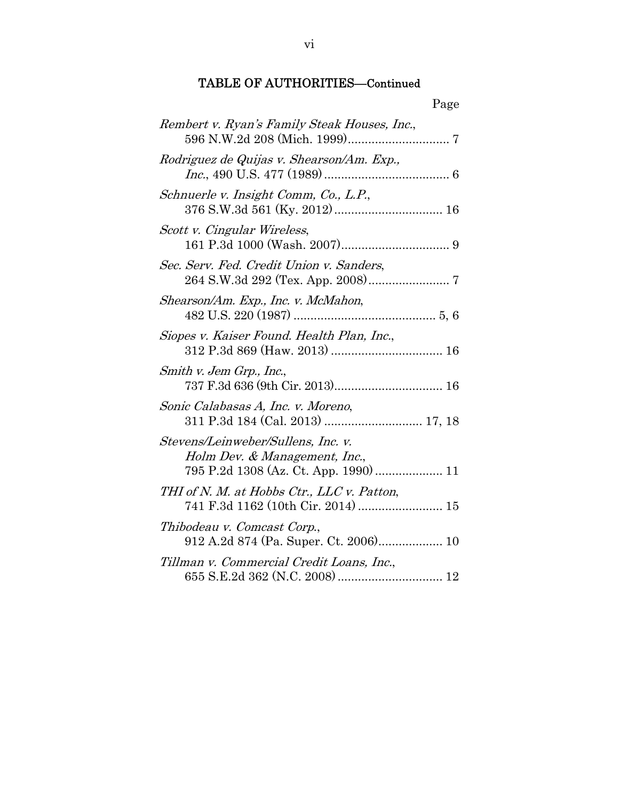| Page                                                                                                         |
|--------------------------------------------------------------------------------------------------------------|
| Rembert v. Ryan's Family Steak Houses, Inc.,                                                                 |
| Rodriguez de Quijas v. Shearson/Am. Exp.,                                                                    |
| Schnuerle v. Insight Comm, Co., L.P.,                                                                        |
| Scott v. Cingular Wireless,                                                                                  |
| Sec. Serv. Fed. Credit Union v. Sanders,                                                                     |
| Shearson/Am. Exp., Inc. v. McMahon,                                                                          |
| Siopes v. Kaiser Found. Health Plan, Inc.,                                                                   |
| Smith v. Jem Grp., Inc.,                                                                                     |
| Sonic Calabasas A, Inc. v. Moreno,                                                                           |
| Stevens/Leinweber/Sullens, Inc. v.<br>Holm Dev. & Management, Inc.,<br>795 P.2d 1308 (Az. Ct. App. 1990)  11 |
| THI of N. M. at Hobbs Ctr., LLC v. Patton,<br>741 F.3d 1162 (10th Cir. 2014)  15                             |
| Thibodeau v. Comcast Corp.,<br>912 A.2d 874 (Pa. Super. Ct. 2006) 10                                         |
| Tillman v. Commercial Credit Loans, Inc.,                                                                    |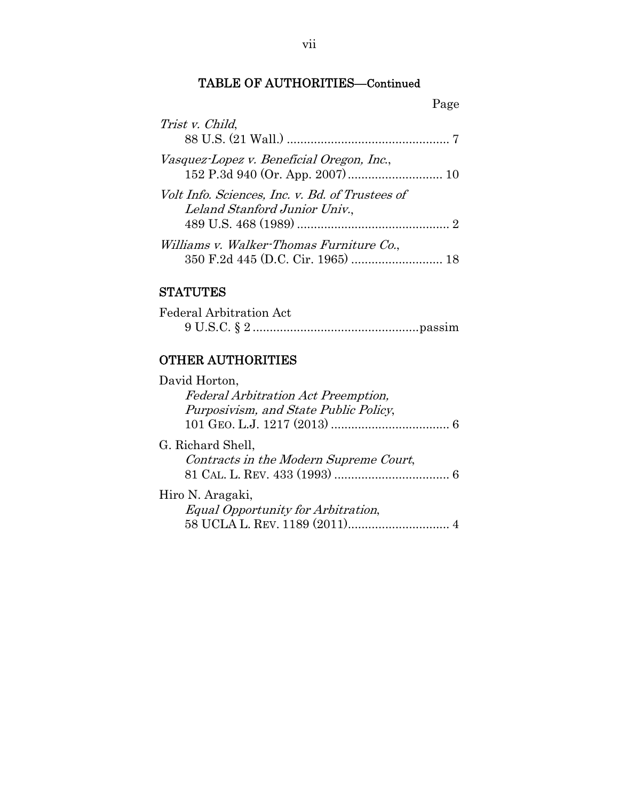|--|

| Trist v. Child,                                                                  |
|----------------------------------------------------------------------------------|
| Vasquez-Lopez v. Beneficial Oregon, Inc.,                                        |
| Volt Info. Sciences, Inc. v. Bd. of Trustees of<br>Leland Stanford Junior Univ., |
| Williams v. Walker-Thomas Furniture Co.,                                         |

## **STATUTES**

| Federal Arbitration Act |  |
|-------------------------|--|
|                         |  |

## OTHER AUTHORITIES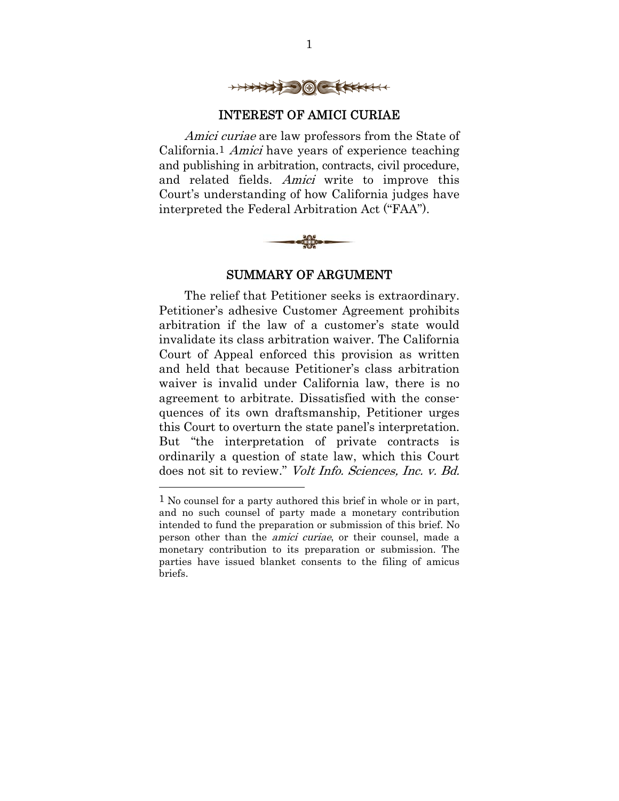

### INTEREST OF AMICI CURIAE

Amici curiae are law professors from the State of California.1 Amici have years of experience teaching and publishing in arbitration, contracts, civil procedure, and related fields. Amici write to improve this Court's understanding of how California judges have interpreted the Federal Arbitration Act ("FAA").



#### SUMMARY OF ARGUMENT

The relief that Petitioner seeks is extraordinary. Petitioner's adhesive Customer Agreement prohibits arbitration if the law of a customer's state would invalidate its class arbitration waiver. The California Court of Appeal enforced this provision as written and held that because Petitioner's class arbitration waiver is invalid under California law, there is no agreement to arbitrate. Dissatisfied with the consequences of its own draftsmanship, Petitioner urges this Court to overturn the state panel's interpretation. But "the interpretation of private contracts is ordinarily a question of state law, which this Court does not sit to review." Volt Info. Sciences, Inc. v. Bd.

<sup>1</sup> No counsel for a party authored this brief in whole or in part, and no such counsel of party made a monetary contribution intended to fund the preparation or submission of this brief. No person other than the amici curiae, or their counsel, made a monetary contribution to its preparation or submission. The parties have issued blanket consents to the filing of amicus briefs.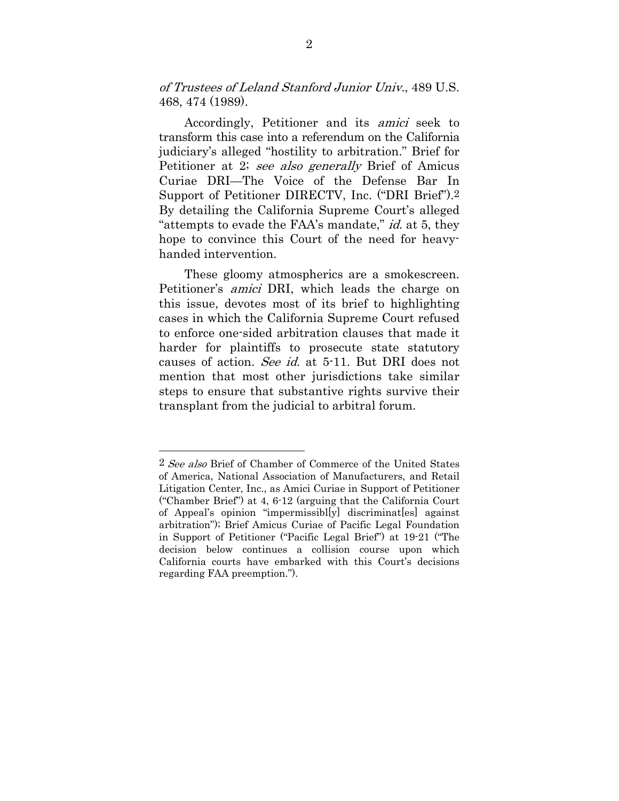of Trustees of Leland Stanford Junior Univ., 489 U.S. 468, 474 (1989).

Accordingly, Petitioner and its amici seek to transform this case into a referendum on the California judiciary's alleged "hostility to arbitration." Brief for Petitioner at 2; see also generally Brief of Amicus Curiae DRI—The Voice of the Defense Bar In Support of Petitioner DIRECTV, Inc. ("DRI Brief").2 By detailing the California Supreme Court's alleged "attempts to evade the FAA's mandate," *id.* at 5, they hope to convince this Court of the need for heavyhanded intervention.

These gloomy atmospherics are a smokescreen. Petitioner's amici DRI, which leads the charge on this issue, devotes most of its brief to highlighting cases in which the California Supreme Court refused to enforce one-sided arbitration clauses that made it harder for plaintiffs to prosecute state statutory causes of action. See id. at 5-11. But DRI does not mention that most other jurisdictions take similar steps to ensure that substantive rights survive their transplant from the judicial to arbitral forum.

<sup>2</sup> See also Brief of Chamber of Commerce of the United States of America, National Association of Manufacturers, and Retail Litigation Center, Inc., as Amici Curiae in Support of Petitioner ("Chamber Brief") at 4, 6-12 (arguing that the California Court of Appeal's opinion "impermissibl[y] discriminat[es] against arbitration"); Brief Amicus Curiae of Pacific Legal Foundation in Support of Petitioner ("Pacific Legal Brief") at 19-21 ("The decision below continues a collision course upon which California courts have embarked with this Court's decisions regarding FAA preemption.").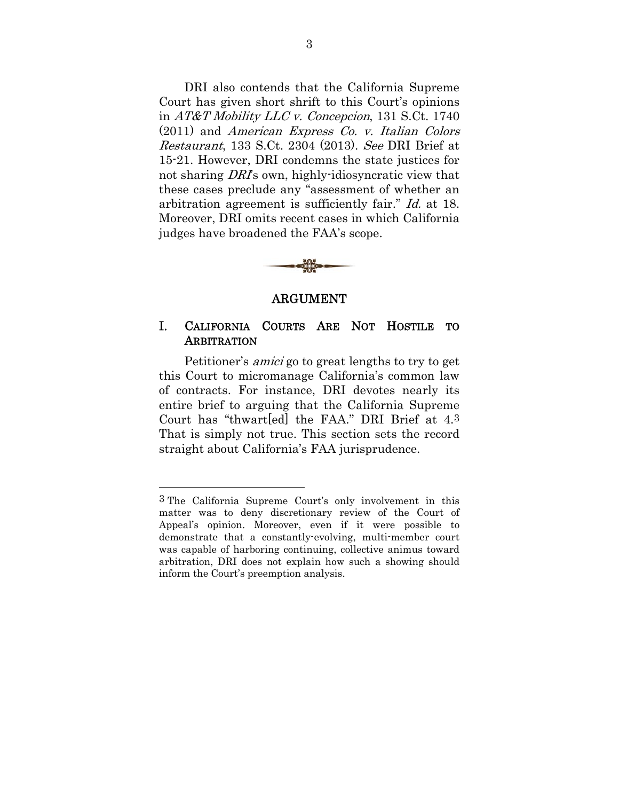DRI also contends that the California Supreme Court has given short shrift to this Court's opinions in AT&T Mobility LLC v. Concepcion, 131 S.Ct. 1740 (2011) and American Express Co. v. Italian Colors Restaurant, 133 S.Ct. 2304 (2013). See DRI Brief at 15-21. However, DRI condemns the state justices for not sharing *DRI*'s own, highly-idiosyncratic view that these cases preclude any "assessment of whether an arbitration agreement is sufficiently fair." Id. at 18. Moreover, DRI omits recent cases in which California judges have broadened the FAA's scope.



#### ARGUMENT

### I. CALIFORNIA COURTS ARE NOT HOSTILE TO **ARBITRATION**

Petitioner's amici go to great lengths to try to get this Court to micromanage California's common law of contracts. For instance, DRI devotes nearly its entire brief to arguing that the California Supreme Court has "thwart[ed] the FAA." DRI Brief at 4.3 That is simply not true. This section sets the record straight about California's FAA jurisprudence.

<sup>3</sup> The California Supreme Court's only involvement in this matter was to deny discretionary review of the Court of Appeal's opinion. Moreover, even if it were possible to demonstrate that a constantly-evolving, multi-member court was capable of harboring continuing, collective animus toward arbitration, DRI does not explain how such a showing should inform the Court's preemption analysis.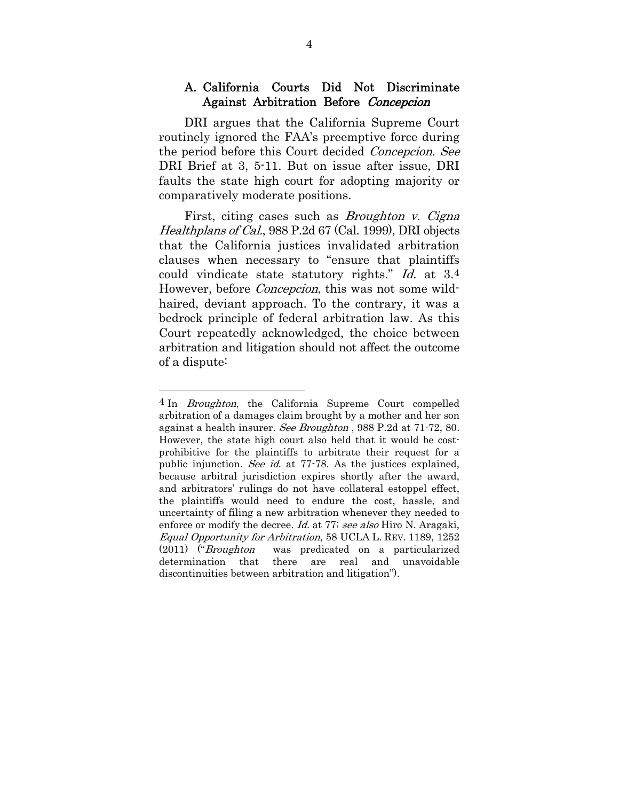### A. California Courts Did Not Discriminate Against Arbitration Before Concepcion

DRI argues that the California Supreme Court routinely ignored the FAA's preemptive force during the period before this Court decided Concepcion. See DRI Brief at 3, 5-11. But on issue after issue, DRI faults the state high court for adopting majority or comparatively moderate positions.

First, citing cases such as *Broughton v. Cigna* Healthplans of Cal., 988 P.2d 67 (Cal. 1999), DRI objects that the California justices invalidated arbitration clauses when necessary to "ensure that plaintiffs could vindicate state statutory rights." Id. at 3.4 However, before *Concepcion*, this was not some wildhaired, deviant approach. To the contrary, it was a bedrock principle of federal arbitration law. As this Court repeatedly acknowledged, the choice between arbitration and litigation should not affect the outcome of a dispute:

<sup>4</sup> In Broughton, the California Supreme Court compelled arbitration of a damages claim brought by a mother and her son against a health insurer. See Broughton , 988 P.2d at 71-72, 80. However, the state high court also held that it would be costprohibitive for the plaintiffs to arbitrate their request for a public injunction. See id. at 77-78. As the justices explained, because arbitral jurisdiction expires shortly after the award, and arbitrators' rulings do not have collateral estoppel effect, the plaintiffs would need to endure the cost, hassle, and uncertainty of filing a new arbitration whenever they needed to enforce or modify the decree. *Id.* at 77; see also Hiro N. Aragaki, Equal Opportunity for Arbitration, 58 UCLA L. REV. 1189, 1252 (2011) ("Broughton was predicated on a particularized determination that there are real and unavoidable discontinuities between arbitration and litigation").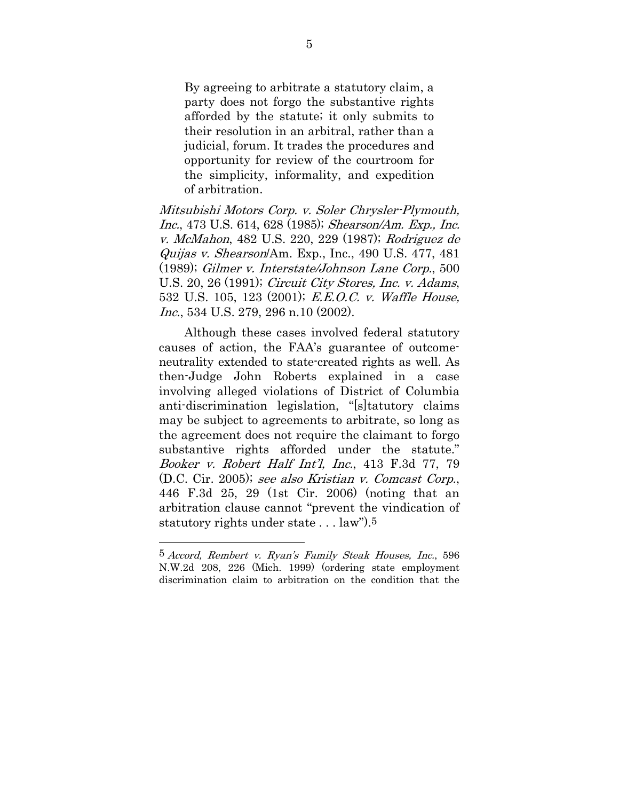By agreeing to arbitrate a statutory claim, a party does not forgo the substantive rights afforded by the statute; it only submits to their resolution in an arbitral, rather than a judicial, forum. It trades the procedures and opportunity for review of the courtroom for the simplicity, informality, and expedition of arbitration.

Mitsubishi Motors Corp. v. Soler Chrysler-Plymouth, Inc., 473 U.S. 614, 628 (1985); Shearson/Am. Exp., Inc. v. McMahon, 482 U.S. 220, 229 (1987); Rodriguez de Quijas v. Shearson/Am. Exp., Inc., 490 U.S. 477, 481 (1989); Gilmer v. Interstate/Johnson Lane Corp., 500 U.S. 20, 26 (1991); Circuit City Stores, Inc. v. Adams, 532 U.S. 105, 123 (2001); E.E.O.C. v. Waffle House, Inc., 534 U.S. 279, 296 n.10 (2002).

Although these cases involved federal statutory causes of action, the FAA's guarantee of outcomeneutrality extended to state-created rights as well. As then-Judge John Roberts explained in a case involving alleged violations of District of Columbia anti-discrimination legislation, "[s]tatutory claims may be subject to agreements to arbitrate, so long as the agreement does not require the claimant to forgo substantive rights afforded under the statute." Booker v. Robert Half Int'l, Inc., 413 F.3d 77, 79 (D.C. Cir. 2005); see also Kristian v. Comcast Corp., 446 F.3d 25, 29 (1st Cir. 2006) (noting that an arbitration clause cannot "prevent the vindication of statutory rights under state . . . law").5

<sup>5</sup> Accord, Rembert v. Ryan's Family Steak Houses, Inc., 596 N.W.2d 208, 226 (Mich. 1999) (ordering state employment discrimination claim to arbitration on the condition that the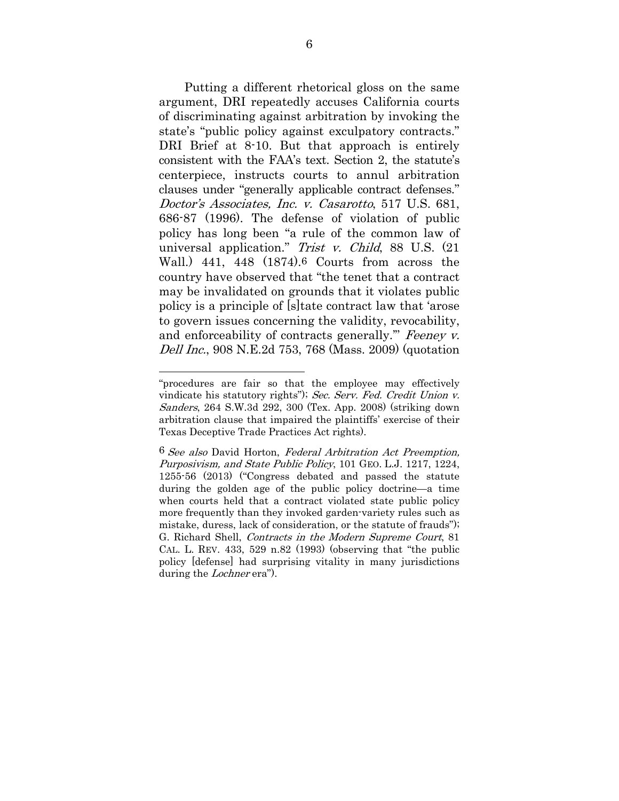Putting a different rhetorical gloss on the same argument, DRI repeatedly accuses California courts of discriminating against arbitration by invoking the state's "public policy against exculpatory contracts." DRI Brief at 8-10. But that approach is entirely consistent with the FAA's text. Section 2, the statute's centerpiece, instructs courts to annul arbitration clauses under "generally applicable contract defenses." Doctor's Associates, Inc. v. Casarotto, 517 U.S. 681, 686-87 (1996). The defense of violation of public policy has long been "a rule of the common law of universal application." Trist v. Child, 88 U.S. (21 Wall.) 441, 448 (1874).6 Courts from across the country have observed that "the tenet that a contract may be invalidated on grounds that it violates public policy is a principle of [s]tate contract law that 'arose to govern issues concerning the validity, revocability, and enforceability of contracts generally." Feeney v. Dell Inc., 908 N.E.2d 753, 768 (Mass. 2009) (quotation

<sup>&</sup>quot;procedures are fair so that the employee may effectively vindicate his statutory rights"); Sec. Serv. Fed. Credit Union v. Sanders, 264 S.W.3d 292, 300 (Tex. App. 2008) (striking down arbitration clause that impaired the plaintiffs' exercise of their Texas Deceptive Trade Practices Act rights).

<sup>6</sup> See also David Horton, Federal Arbitration Act Preemption, Purposivism, and State Public Policy, 101 GEO. L.J. 1217, 1224, 1255-56 (2013) ("Congress debated and passed the statute during the golden age of the public policy doctrine—a time when courts held that a contract violated state public policy more frequently than they invoked garden-variety rules such as mistake, duress, lack of consideration, or the statute of frauds"); G. Richard Shell, Contracts in the Modern Supreme Court, 81 CAL. L. REV. 433, 529 n.82 (1993) (observing that "the public policy [defense] had surprising vitality in many jurisdictions during the *Lochner* era").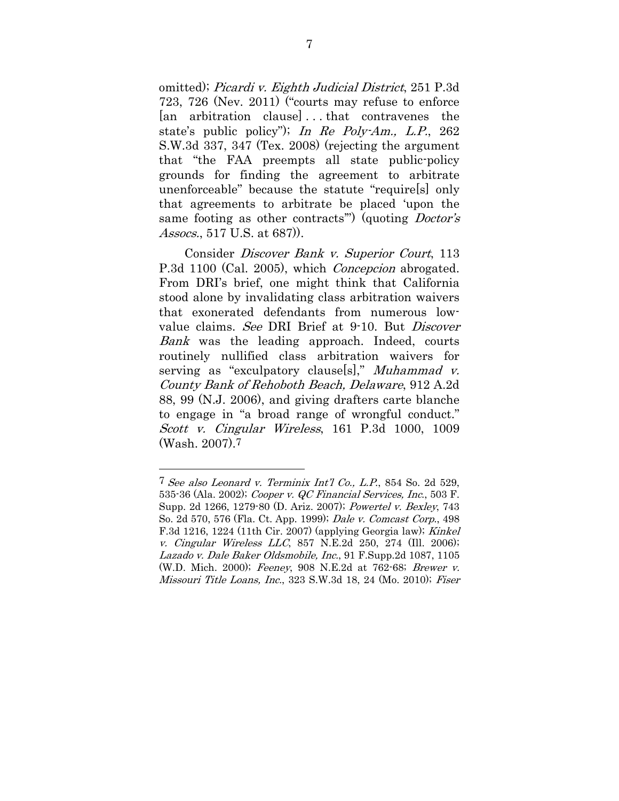omitted); Picardi v. Eighth Judicial District, 251 P.3d 723, 726 (Nev. 2011) ("courts may refuse to enforce [an arbitration clause] . . . that contravenes the state's public policy"); In Re Poly-Am., L.P., 262 S.W.3d 337, 347 (Tex. 2008) (rejecting the argument that "the FAA preempts all state public-policy grounds for finding the agreement to arbitrate unenforceable" because the statute "require[s] only that agreements to arbitrate be placed 'upon the same footing as other contracts") (quoting *Doctor's* Assocs., 517 U.S. at 687).

Consider Discover Bank v. Superior Court, 113 P.3d 1100 (Cal. 2005), which *Concepcion* abrogated. From DRI's brief, one might think that California stood alone by invalidating class arbitration waivers that exonerated defendants from numerous lowvalue claims. See DRI Brief at 9-10. But *Discover* Bank was the leading approach. Indeed, courts routinely nullified class arbitration waivers for serving as "exculpatory clause[s]," Muhammad v. County Bank of Rehoboth Beach, Delaware, 912 A.2d 88, 99 (N.J. 2006), and giving drafters carte blanche to engage in "a broad range of wrongful conduct." Scott v. Cingular Wireless, 161 P.3d 1000, 1009 (Wash. 2007).7

<sup>7</sup> See also Leonard v. Terminix Int'l Co., L.P., 854 So. 2d 529, 535-36 (Ala. 2002); Cooper v. QC Financial Services, Inc., 503 F. Supp. 2d 1266, 1279-80 (D. Ariz. 2007); Powertel v. Bexley, 743 So. 2d 570, 576 (Fla. Ct. App. 1999); Dale v. Comcast Corp., 498 F.3d 1216, 1224 (11th Cir. 2007) (applying Georgia law); Kinkel v. Cingular Wireless LLC, 857 N.E.2d 250, 274 (Ill. 2006); Lazado v. Dale Baker Oldsmobile, Inc., 91 F.Supp.2d 1087, 1105 (W.D. Mich. 2000); Feeney, 908 N.E.2d at 762-68; Brewer v. Missouri Title Loans, Inc., 323 S.W.3d 18, 24 (Mo. 2010); Fiser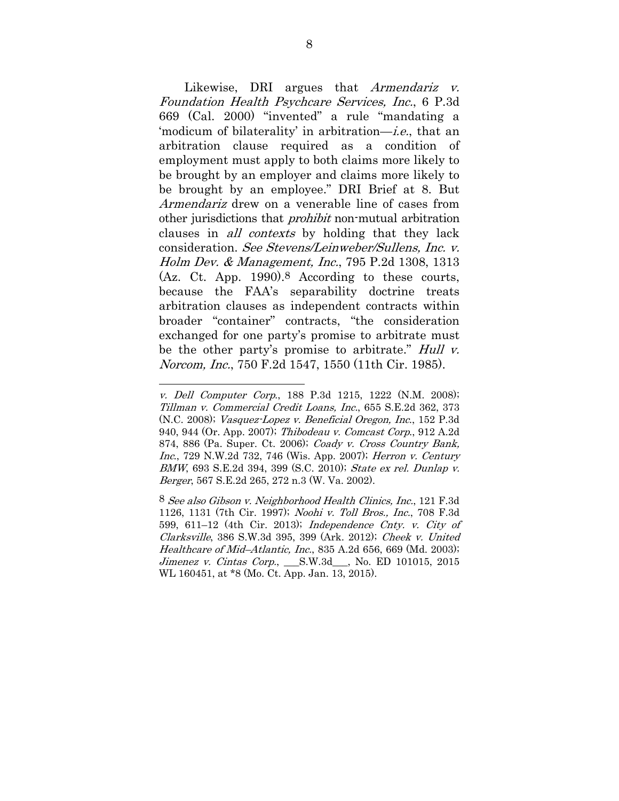Likewise, DRI argues that *Armendariz v.* Foundation Health Psychcare Services, Inc., 6 P.3d 669 (Cal. 2000) "invented" a rule "mandating a 'modicum of bilaterality' in arbitration—i.e., that an arbitration clause required as a condition of employment must apply to both claims more likely to be brought by an employer and claims more likely to be brought by an employee." DRI Brief at 8. But Armendariz drew on a venerable line of cases from other jurisdictions that prohibit non-mutual arbitration clauses in all contexts by holding that they lack consideration. See Stevens/Leinweber/Sullens, Inc. v. Holm Dev. & Management, Inc., 795 P.2d 1308, 1313 (Az. Ct. App. 1990).8 According to these courts, because the FAA's separability doctrine treats arbitration clauses as independent contracts within broader "container" contracts, "the consideration exchanged for one party's promise to arbitrate must be the other party's promise to arbitrate." Hull v. Norcom, Inc., 750 F.2d 1547, 1550 (11th Cir. 1985).

v. Dell Computer Corp., 188 P.3d 1215, 1222 (N.M. 2008); Tillman v. Commercial Credit Loans, Inc., 655 S.E.2d 362, 373 (N.C. 2008); Vasquez-Lopez v. Beneficial Oregon, Inc., 152 P.3d 940, 944 (Or. App. 2007); Thibodeau v. Comcast Corp., 912 A.2d 874, 886 (Pa. Super. Ct. 2006); Coady v. Cross Country Bank, Inc., 729 N.W.2d 732, 746 (Wis. App. 2007); Herron v. Century BMW, 693 S.E.2d 394, 399 (S.C. 2010); State ex rel. Dunlap v. Berger, 567 S.E.2d 265, 272 n.3 (W. Va. 2002).

<sup>8</sup> See also Gibson v. Neighborhood Health Clinics, Inc., 121 F.3d 1126, 1131 (7th Cir. 1997); Noohi v. Toll Bros., Inc., 708 F.3d 599, 611–12 (4th Cir. 2013); Independence Cnty. v. City of Clarksville, 386 S.W.3d 395, 399 (Ark. 2012); Cheek v. United Healthcare of Mid–Atlantic, Inc., 835 A.2d 656, 669 (Md. 2003); Jimenez v. Cintas Corp., \_\_\_S.W.3d\_\_\_, No. ED 101015, 2015 WL 160451, at \*8 (Mo. Ct. App. Jan. 13, 2015).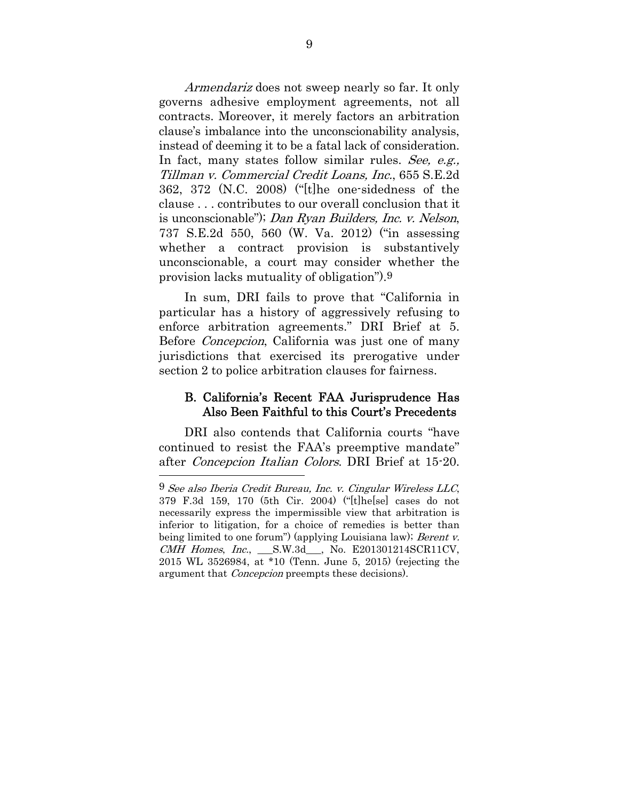Armendariz does not sweep nearly so far. It only governs adhesive employment agreements, not all contracts. Moreover, it merely factors an arbitration clause's imbalance into the unconscionability analysis, instead of deeming it to be a fatal lack of consideration. In fact, many states follow similar rules. See, e.g., Tillman v. Commercial Credit Loans, Inc., 655 S.E.2d 362, 372 (N.C. 2008) ("[t]he one-sidedness of the clause . . . contributes to our overall conclusion that it is unconscionable"); Dan Ryan Builders, Inc. v. Nelson, 737 S.E.2d 550, 560 (W. Va. 2012) ("in assessing whether a contract provision is substantively unconscionable, a court may consider whether the provision lacks mutuality of obligation").9

In sum, DRI fails to prove that "California in particular has a history of aggressively refusing to enforce arbitration agreements." DRI Brief at 5. Before Concepcion, California was just one of many jurisdictions that exercised its prerogative under section 2 to police arbitration clauses for fairness.

### B. California's Recent FAA Jurisprudence Has Also Been Faithful to this Court's Precedents

DRI also contends that California courts "have continued to resist the FAA's preemptive mandate" after Concepcion Italian Colors. DRI Brief at 15-20.

<sup>9</sup> See also Iberia Credit Bureau, Inc. v. Cingular Wireless LLC, 379 F.3d 159, 170 (5th Cir. 2004) ("[t]he[se] cases do not necessarily express the impermissible view that arbitration is inferior to litigation, for a choice of remedies is better than being limited to one forum") (applying Louisiana law); Berent v. CMH Homes, Inc., \_\_\_S.W.3d\_\_\_, No. E201301214SCR11CV, 2015 WL 3526984, at \*10 (Tenn. June 5, 2015) (rejecting the argument that Concepcion preempts these decisions).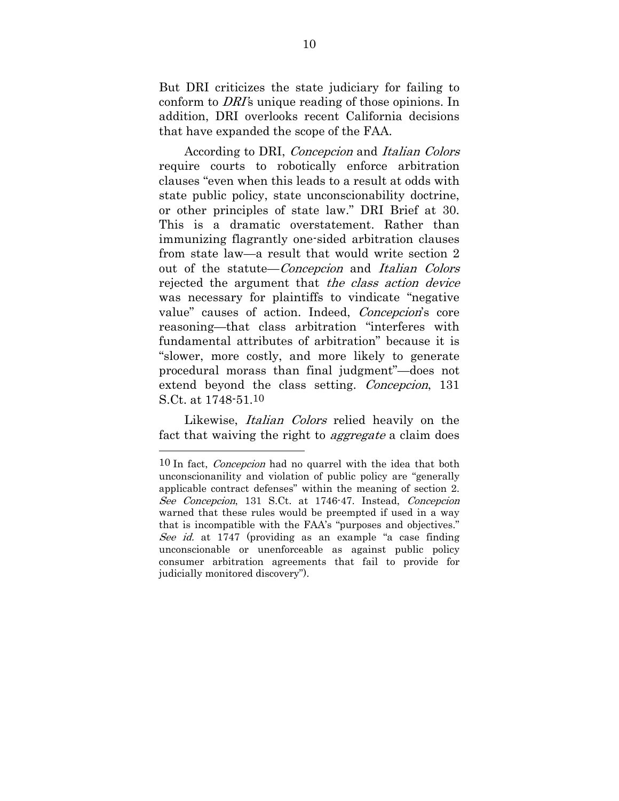But DRI criticizes the state judiciary for failing to conform to DRI's unique reading of those opinions. In addition, DRI overlooks recent California decisions that have expanded the scope of the FAA.

According to DRI, Concepcion and Italian Colors require courts to robotically enforce arbitration clauses "even when this leads to a result at odds with state public policy, state unconscionability doctrine, or other principles of state law." DRI Brief at 30. This is a dramatic overstatement. Rather than immunizing flagrantly one-sided arbitration clauses from state law—a result that would write section 2 out of the statute—Concepcion and Italian Colors rejected the argument that the class action device was necessary for plaintiffs to vindicate "negative value" causes of action. Indeed, Concepcion's core reasoning—that class arbitration "interferes with fundamental attributes of arbitration" because it is "slower, more costly, and more likely to generate procedural morass than final judgment"—does not extend beyond the class setting. Concepcion, 131 S.Ct. at 1748-51.10

Likewise, *Italian Colors* relied heavily on the fact that waiving the right to *aggregate* a claim does

<sup>10</sup> In fact, *Concepcion* had no quarrel with the idea that both unconscionanility and violation of public policy are "generally applicable contract defenses" within the meaning of section 2. See Concepcion, 131 S.Ct. at 1746-47. Instead, Concepcion warned that these rules would be preempted if used in a way that is incompatible with the FAA's "purposes and objectives." See id. at 1747 (providing as an example "a case finding") unconscionable or unenforceable as against public policy consumer arbitration agreements that fail to provide for judicially monitored discovery").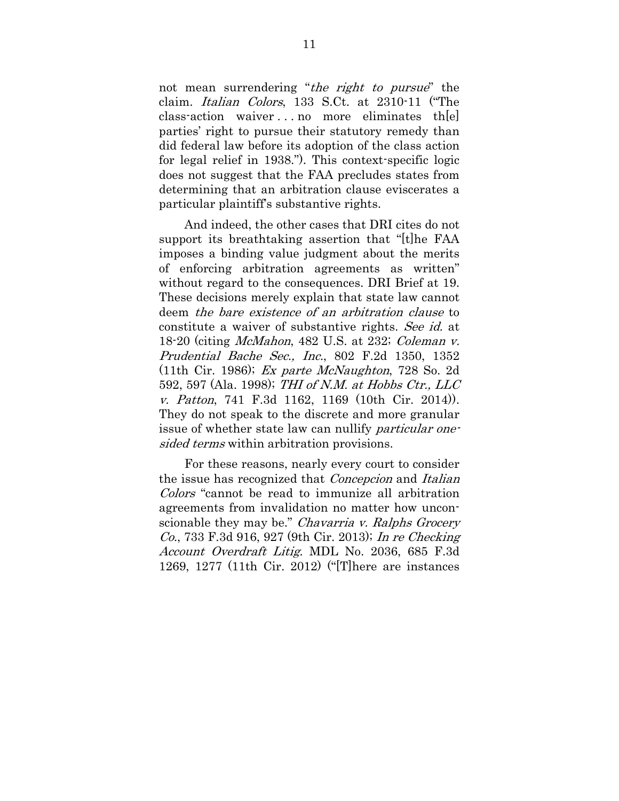not mean surrendering "the right to pursue" the claim. Italian Colors, 133 S.Ct. at 2310-11 ("The class-action waiver . . . no more eliminates th[e] parties' right to pursue their statutory remedy than did federal law before its adoption of the class action for legal relief in 1938."). This context-specific logic does not suggest that the FAA precludes states from determining that an arbitration clause eviscerates a particular plaintiff's substantive rights.

And indeed, the other cases that DRI cites do not support its breathtaking assertion that "[t]he FAA imposes a binding value judgment about the merits of enforcing arbitration agreements as written" without regard to the consequences. DRI Brief at 19. These decisions merely explain that state law cannot deem the bare existence of an arbitration clause to constitute a waiver of substantive rights. See id. at 18-20 (citing McMahon, 482 U.S. at 232; Coleman v. Prudential Bache Sec., Inc., 802 F.2d 1350, 1352 (11th Cir. 1986); Ex parte McNaughton, 728 So. 2d 592, 597 (Ala. 1998); THI of N.M. at Hobbs Ctr., LLC v. Patton, 741 F.3d 1162, 1169 (10th Cir. 2014)). They do not speak to the discrete and more granular issue of whether state law can nullify *particular one*sided terms within arbitration provisions.

For these reasons, nearly every court to consider the issue has recognized that Concepcion and Italian Colors "cannot be read to immunize all arbitration agreements from invalidation no matter how unconscionable they may be." Chavarria v. Ralphs Grocery Co., 733 F.3d 916, 927 (9th Cir. 2013); In re Checking Account Overdraft Litig. MDL No. 2036, 685 F.3d 1269, 1277 (11th Cir. 2012) ("[T]here are instances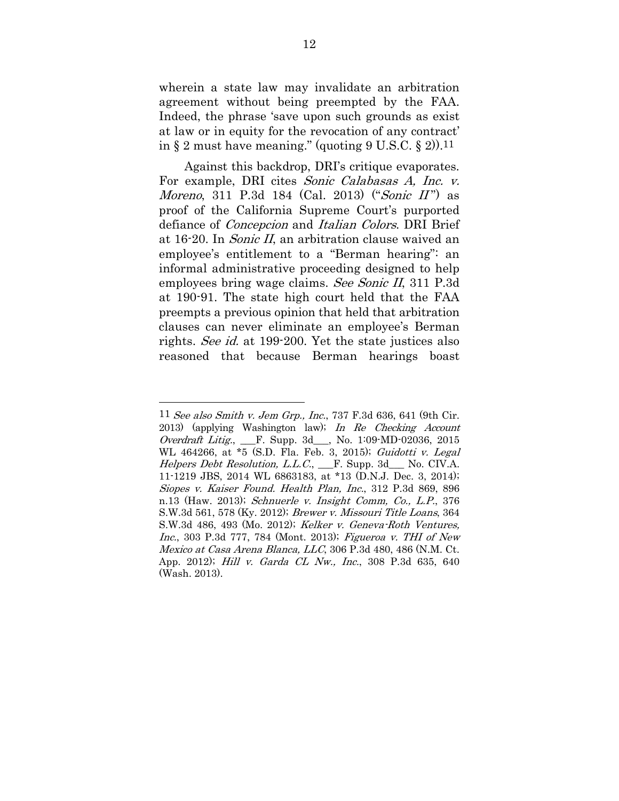wherein a state law may invalidate an arbitration agreement without being preempted by the FAA. Indeed, the phrase 'save upon such grounds as exist at law or in equity for the revocation of any contract' in  $\S 2$  must have meaning." (quoting  $9 \text{ U.S.C.} \ \S 2)$ ).

Against this backdrop, DRI's critique evaporates. For example, DRI cites Sonic Calabasas A, Inc. v. *Moreno*, 311 P.3d 184 (Cal. 2013) ("*Sonic II*") as proof of the California Supreme Court's purported defiance of Concepcion and Italian Colors. DRI Brief at 16-20. In Sonic II, an arbitration clause waived an employee's entitlement to a "Berman hearing": an informal administrative proceeding designed to help employees bring wage claims. See Sonic II, 311 P.3d at 190-91. The state high court held that the FAA preempts a previous opinion that held that arbitration clauses can never eliminate an employee's Berman rights. See id. at 199-200. Yet the state justices also reasoned that because Berman hearings boast

<sup>11</sup> See also Smith v. Jem Grp., Inc., 737 F.3d 636, 641 (9th Cir. 2013) (applying Washington law); In Re Checking Account Overdraft Litig., \_\_\_F. Supp. 3d\_\_\_, No. 1:09-MD-02036, 2015 WL 464266, at \*5 (S.D. Fla. Feb. 3, 2015); Guidotti v. Legal Helpers Debt Resolution, L.L.C., <sub>F.</sub> Supp. 3d<sub>framener</sub> No. CIV.A. 11-1219 JBS, 2014 WL 6863183, at \*13 (D.N.J. Dec. 3, 2014); Siopes v. Kaiser Found. Health Plan, Inc., 312 P.3d 869, 896 n.13 (Haw. 2013); Schnuerle v. Insight Comm, Co., L.P., 376 S.W.3d 561, 578 (Ky. 2012); Brewer v. Missouri Title Loans, 364 S.W.3d 486, 493 (Mo. 2012); Kelker v. Geneva-Roth Ventures, Inc., 303 P.3d 777, 784 (Mont. 2013); Figueroa v. THI of New Mexico at Casa Arena Blanca, LLC, 306 P.3d 480, 486 (N.M. Ct. App. 2012); Hill v. Garda CL Nw., Inc., 308 P.3d 635, 640 (Wash. 2013).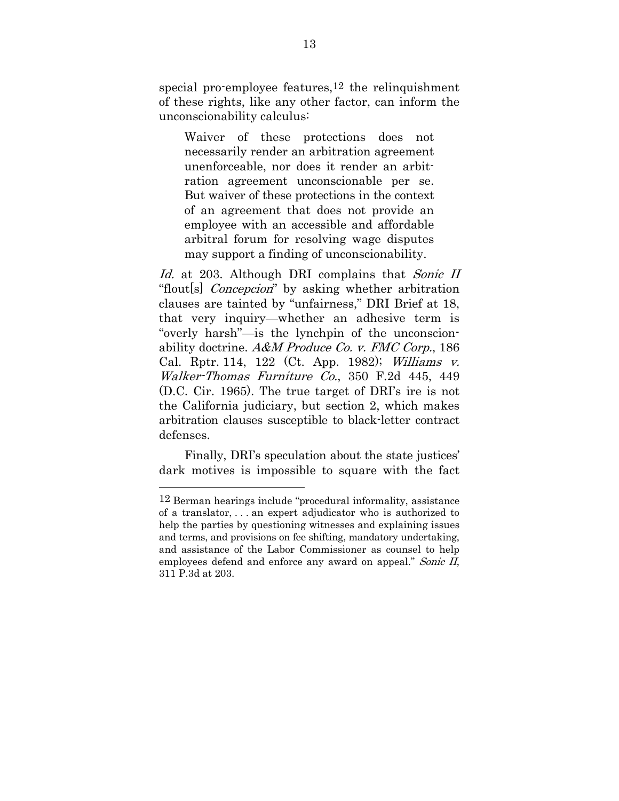special pro-employee features,12 the relinquishment of these rights, like any other factor, can inform the unconscionability calculus:

Waiver of these protections does not necessarily render an arbitration agreement unenforceable, nor does it render an arbitration agreement unconscionable per se. But waiver of these protections in the context of an agreement that does not provide an employee with an accessible and affordable arbitral forum for resolving wage disputes may support a finding of unconscionability.

Id. at 203. Although DRI complains that Sonic II "flout[s] *Concepcion*" by asking whether arbitration clauses are tainted by "unfairness," DRI Brief at 18, that very inquiry—whether an adhesive term is "overly harsh"—is the lynchpin of the unconscionability doctrine. A&M Produce Co. v. FMC Corp., 186 Cal. Rptr. 114, 122 (Ct. App. 1982); Williams v. Walker-Thomas Furniture Co., 350 F.2d 445, 449 (D.C. Cir. 1965). The true target of DRI's ire is not the California judiciary, but section 2, which makes arbitration clauses susceptible to black-letter contract defenses.

Finally, DRI's speculation about the state justices' dark motives is impossible to square with the fact

<sup>12</sup> Berman hearings include "procedural informality, assistance of a translator, . . . an expert adjudicator who is authorized to help the parties by questioning witnesses and explaining issues and terms, and provisions on fee shifting, mandatory undertaking, and assistance of the Labor Commissioner as counsel to help employees defend and enforce any award on appeal." Sonic II, 311 P.3d at 203.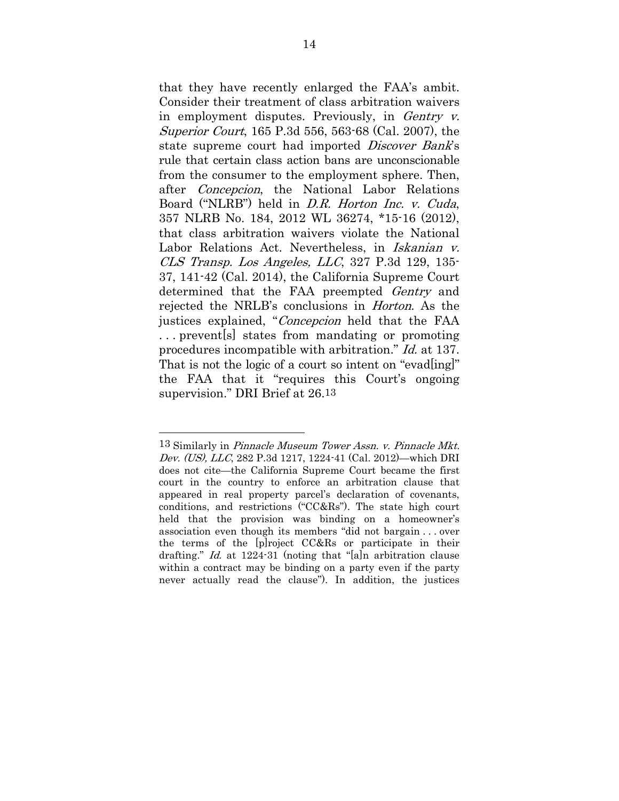that they have recently enlarged the FAA's ambit. Consider their treatment of class arbitration waivers in employment disputes. Previously, in Gentry v. Superior Court, 165 P.3d 556, 563-68 (Cal. 2007), the state supreme court had imported *Discover Bank's* rule that certain class action bans are unconscionable from the consumer to the employment sphere. Then, after Concepcion, the National Labor Relations Board ("NLRB") held in D.R. Horton Inc. v. Cuda, 357 NLRB No. 184, 2012 WL 36274, \*15-16 (2012), that class arbitration waivers violate the National Labor Relations Act. Nevertheless, in *Iskanian v.* CLS Transp. Los Angeles, LLC, 327 P.3d 129, 135- 37, 141-42 (Cal. 2014), the California Supreme Court determined that the FAA preempted *Gentry* and rejected the NRLB's conclusions in Horton. As the justices explained, "Concepcion held that the FAA . . . prevent[s] states from mandating or promoting procedures incompatible with arbitration." Id. at 137. That is not the logic of a court so intent on "evadling" the FAA that it "requires this Court's ongoing supervision." DRI Brief at 26.13

<sup>13</sup> Similarly in Pinnacle Museum Tower Assn. v. Pinnacle Mkt. Dev. (US), LLC, 282 P.3d 1217, 1224-41 (Cal. 2012)—which DRI does not cite—the California Supreme Court became the first court in the country to enforce an arbitration clause that appeared in real property parcel's declaration of covenants, conditions, and restrictions ("CC&Rs"). The state high court held that the provision was binding on a homeowner's association even though its members "did not bargain . . . over the terms of the [p]roject CC&Rs or participate in their drafting." Id. at 1224-31 (noting that "[a]n arbitration clause within a contract may be binding on a party even if the party never actually read the clause"). In addition, the justices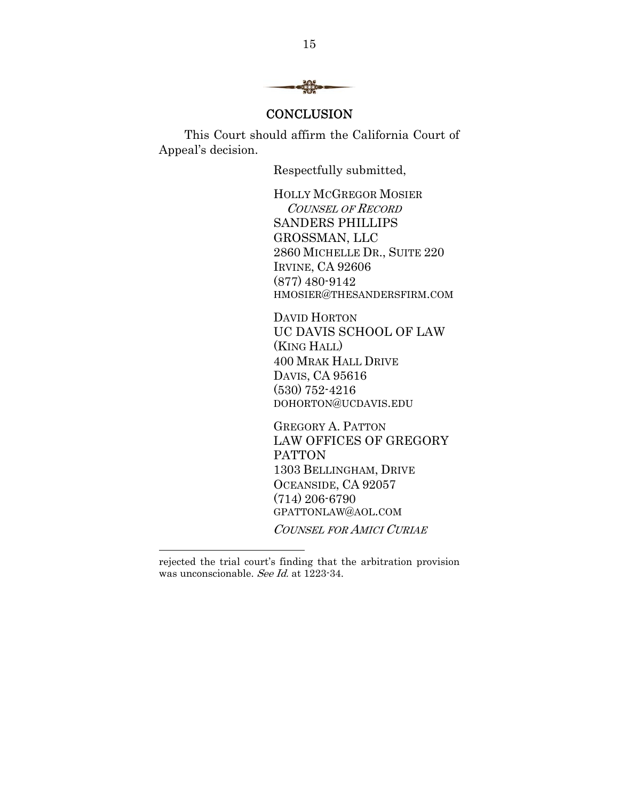

### **CONCLUSION**

This Court should affirm the California Court of Appeal's decision.

Respectfully submitted,

HOLLY MCGREGOR MOSIER COUNSEL OF RECORD SANDERS PHILLIPS GROSSMAN, LLC 2860 MICHELLE DR., SUITE 220 IRVINE, CA 92606 (877) 480-9142 HMOSIER@THESANDERSFIRM.COM

DAVID HORTON UC DAVIS SCHOOL OF LAW (KING HALL) 400 MRAK HALL DRIVE DAVIS, CA 95616 (530) 752-4216 DOHORTON@UCDAVIS.EDU

GREGORY A. PATTON LAW OFFICES OF GREGORY PATTON 1303 BELLINGHAM, DRIVE OCEANSIDE, CA 92057 (714) 206-6790 GPATTONLAW@AOL.COM COUNSEL FOR AMICI CURIAE

rejected the trial court's finding that the arbitration provision was unconscionable. See Id. at 1223-34.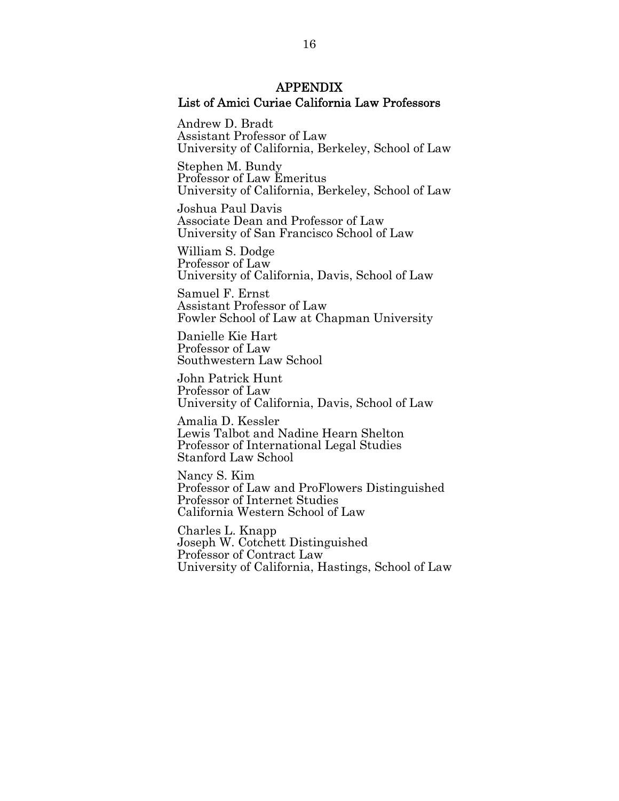### APPENDIX List of Amici Curiae California Law Professors

Andrew D. Bradt Assistant Professor of Law University of California, Berkeley, School of Law

Stephen M. Bundy Professor of Law Emeritus University of California, Berkeley, School of Law

Joshua Paul Davis Associate Dean and Professor of Law University of San Francisco School of Law

William S. Dodge Professor of Law University of California, Davis, School of Law

Samuel F. Ernst Assistant Professor of Law Fowler School of Law at Chapman University

Danielle Kie Hart Professor of Law Southwestern Law School

John Patrick Hunt Professor of Law University of California, Davis, School of Law

Amalia D. Kessler Lewis Talbot and Nadine Hearn Shelton Professor of International Legal Studies Stanford Law School

Nancy S. Kim Professor of Law and ProFlowers Distinguished Professor of Internet Studies California Western School of Law

Charles L. Knapp Joseph W. Cotchett Distinguished Professor of Contract Law University of California, Hastings, School of Law